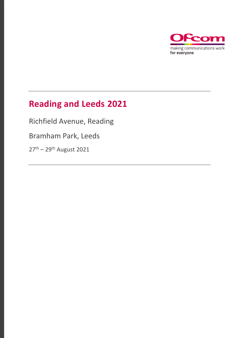

# **Reading and Leeds 2021**

Richfield Avenue, Reading

Bramham Park, Leeds

27<sup>th</sup> – 29<sup>th</sup> August 2021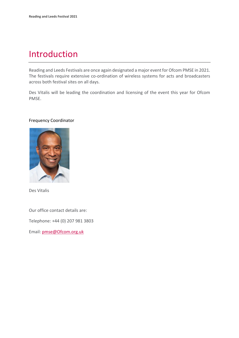## Introduction

Reading and Leeds Festivals are once again designated a major event for Ofcom PMSE in 2021. The festivals require extensive co-ordination of wireless systems for acts and broadcasters across both festival sites on all days.

Des Vitalis will be leading the coordination and licensing of the event this year for Ofcom PMSE.

#### Frequency Coordinator



Des Vitalis

Our office contact details are:

Telephone: +44 (0) 207 981 3803

Email: [pmse@Ofcom.org.uk](mailto:pmse@arqiva.com)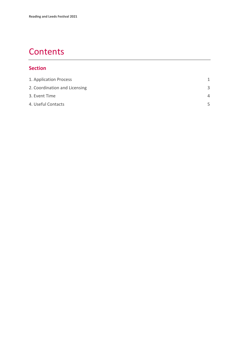## **Contents**

#### **Section**

| 1. Application Process        | 1        |
|-------------------------------|----------|
| 2. Coordination and Licensing | 3        |
| 3. Event Time                 | $\Delta$ |
| 4. Useful Contacts            | 5        |
|                               |          |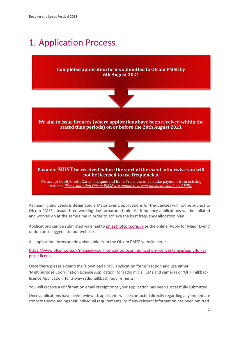## <span id="page-3-0"></span>1. Application Process

#### **Completed application forms submitted to Ofcom PMSE by 6th August 2021**



#### **We aim to issue licences (where applications have been received within the stated time periods) on or before the 20th August 2021**



#### **Payment MUST be received before the start of the event, otherwise you will not be licensed to use frequencies.**

We accept Debit/Credit Cards, Cheques and Bank Transfers or can take payment from existing carnets. *Please note that Ofcom PMSE are unable to accept payments made by AMEX.*

As Reading and Leeds is designated a Major Event, applications for frequencies will not be subject to Ofcom PMSE's usual three working day turnaround rule. All frequency applications will be collated and worked on at the same time in order to achieve the best frequency allocation plan.

Applications can be submitted via email t[o pmse@ofcom.org.uk](mailto:pmse@ofcom.org.uk) or the online 'Apply for Major Event' option once logged into our website.

All application forms are downloadable from the Ofcom PMSE website here:

[https://www.ofcom.org.uk/manage-your-licence/radiocommunication-licences/pmse/apply-for-a](https://www.ofcom.org.uk/manage-your-licence/radiocommunication-licences/pmse/apply-for-a-pmse-licence)[pmse-licence.](https://www.ofcom.org.uk/manage-your-licence/radiocommunication-licences/pmse/apply-for-a-pmse-licence)

Once there please expand the 'Download PMSE application forms' section and use either 'Multipurpose Coordination Licence Application' for radio mic's, IEMs and cameras or 'UHF Talkback licence Application' for 2-way radio talkback requirements.

You will receive a confirmation email receipt once your application has been successfully submitted.

Once applications have been reviewed, applicants will be contacted directly regarding any immediate concerns surrounding their individual requirements, or if any relevant information has been omitted.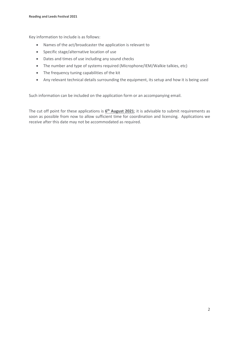Key information to include is as follows:

- Names of the act/broadcaster the application is relevant to
- Specific stage/alternative location of use
- Dates and times of use including any sound checks
- The number and type of systems required (Microphone/IEM/Walkie talkies, etc)
- The frequency tuning capabilities of the kit
- Any relevant technical details surrounding the equipment, its setup and how it is being used

Such information can be included on the application form or an accompanying email.

The cut off point for these applications is  $\underline{6}^{\text{th}}$  **August 2021**; it is advisable to submit requirements as soon as possible from now to allow sufficient time for coordination and licensing. Applications we receive after this date may not be accommodated as required.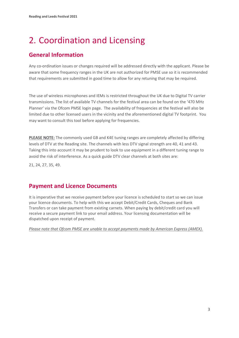# <span id="page-5-0"></span>2. Coordination and Licensing

## **General Information**

Any co-ordination issues or changes required will be addressed directly with the applicant. Please be aware that some frequency ranges in the UK are not authorized for PMSE use so it is recommended that requirements are submitted in good time to allow for any retuning that may be required.

The use of wireless microphones and IEMs is restricted throughout the UK due to Digital TV carrier transmissions. The list of available TV channels for the festival area can be found on the '470 MHz Planner' via the Ofcom PMSE login page. The availability of frequencies at the festival will also be limited due to other licensed users in the vicinity and the aforementioned digital TV footprint. You may want to consult this tool before applying for frequencies.

**PLEASE NOTE:** The commonly used GB and K4E tuning ranges are completely affected by differing levels of DTV at the Reading site. The channels with less DTV signal strength are 40, 41 and 43. Taking this into account it may be prudent to look to use equipment in a different tuning range to avoid the risk of interference. As a quick guide DTV clear channels at both sites are:

21, 24, 27, 35, 49.

### **Payment and Licence Documents**

It is imperative that we receive payment before your licence is scheduled to start so we can issue your licence documents. To help with this we accept Debit/Credit Cards, Cheques and Bank Transfers or can take payment from existing carnets. When paying by debit/credit card you will receive a secure payment link to your email address. Your licensing documentation will be dispatched upon receipt of payment.

*Please note that Ofcom PMSE are unable to accept payments made by American Express (AMEX).*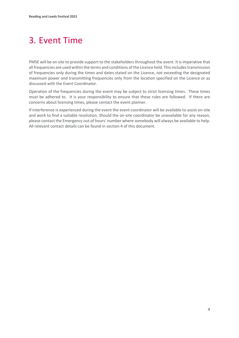# <span id="page-6-0"></span>3. Event Time

PMSE will be on site to provide support to the stakeholders throughout the event. It is imperative that all frequencies are used within the terms and conditions of the Licence held. This includes transmission of frequencies only during the times and dates stated on the Licence, not exceeding the designated maximum power and transmitting frequencies only from the location specified on the Licence or as discussed with the Event Coordinator.

Operation of the frequencies during the event may be subject to strict licensing times. These times *must* be adhered to. It is your responsibility to ensure that these rules are followed. If there are concerns about licensing times, please contact the event planner.

If interference is experienced during the event the event coordinator will be available to assist on-site and work to find a suitable resolution. Should the on-site coordinator be unavailable for any reason, please contact the Emergency out of hours' number where somebody will always be available to help. All relevant contact details can be found in section 4 of this document.